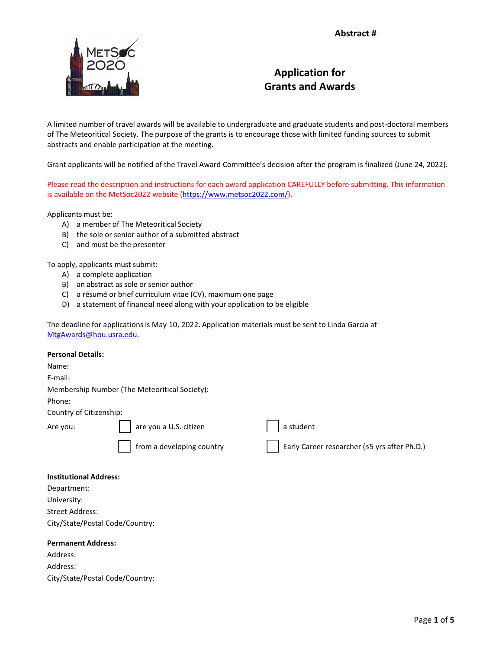

## **Application for Grants and Awards**

A limited number of travel awards will be available to undergraduate and graduate students and post-doctoral members of The Meteoritical Society. The purpose of the grants is to encourage those with limited funding sources to submit abstracts and enable participation at the meeting.

Grant applicants will be notified of the Travel Award Committee's decision after the program is finalized (June 24, 2022).

Please read the description and instructions for each award application CAREFULLY before submitting. This information is available on the MetSoc2022 websit[e \(https://www.metsoc2022.com](https://www.metsoc2022.com/)/).

Applicants must be:

- A) a member of The Meteoritical Society
- B) the sole or senior author of a submitted abstract
- C) and must be the presenter

To apply, applicants must submit:

- A) a complete application
- B) an abstract as sole or senior author
- C) a résumé or brief curriculum vitae (CV), maximum one page
- D) a statement of financial need along with your application to be eligible

The deadline for applications is May 10, 2022. Application materials must be sent to Linda Garcia at [MtgAwards@hou.usra.edu.](mailto:MtgAwards@hou.usra.edu) 

| <b>Personal Details:</b>      |                                               |                                              |
|-------------------------------|-----------------------------------------------|----------------------------------------------|
| Name:                         |                                               |                                              |
| E-mail:                       |                                               |                                              |
|                               | Membership Number (The Meteoritical Society): |                                              |
| Phone:                        |                                               |                                              |
| Country of Citizenship:       |                                               |                                              |
| Are you:                      | are you a U.S. citizen                        | a student                                    |
|                               | from a developing country                     | Early Career researcher (≤5 yrs after Ph.D.) |
| <b>Institutional Address:</b> |                                               |                                              |

## **Institutional Address:**

| Department:                     |
|---------------------------------|
| University:                     |
| Street Address:                 |
| City/State/Postal Code/Country: |

## **Permanent Address:**

Address: Address: City/State/Postal Code/Country: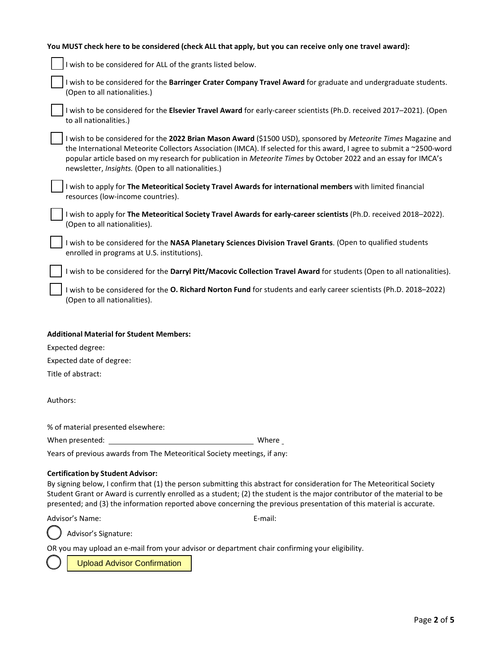| You MUST check here to be considered (check ALL that apply, but you can receive only one travel award):                                                                                                                                                                                                                                                                                                                  |  |  |  |
|--------------------------------------------------------------------------------------------------------------------------------------------------------------------------------------------------------------------------------------------------------------------------------------------------------------------------------------------------------------------------------------------------------------------------|--|--|--|
| I wish to be considered for ALL of the grants listed below.                                                                                                                                                                                                                                                                                                                                                              |  |  |  |
| I wish to be considered for the Barringer Crater Company Travel Award for graduate and undergraduate students.<br>(Open to all nationalities.)                                                                                                                                                                                                                                                                           |  |  |  |
| I wish to be considered for the Elsevier Travel Award for early-career scientists (Ph.D. received 2017-2021). (Open<br>to all nationalities.)                                                                                                                                                                                                                                                                            |  |  |  |
| I wish to be considered for the 2022 Brian Mason Award (\$1500 USD), sponsored by Meteorite Times Magazine and<br>the International Meteorite Collectors Association (IMCA). If selected for this award, I agree to submit a ~2500-word<br>popular article based on my research for publication in Meteorite Times by October 2022 and an essay for IMCA's<br>newsletter, Insights. (Open to all nationalities.)         |  |  |  |
| I wish to apply for The Meteoritical Society Travel Awards for international members with limited financial<br>resources (low-income countries).                                                                                                                                                                                                                                                                         |  |  |  |
| I wish to apply for The Meteoritical Society Travel Awards for early-career scientists (Ph.D. received 2018-2022).<br>(Open to all nationalities).                                                                                                                                                                                                                                                                       |  |  |  |
| I wish to be considered for the NASA Planetary Sciences Division Travel Grants. (Open to qualified students<br>enrolled in programs at U.S. institutions).                                                                                                                                                                                                                                                               |  |  |  |
| I wish to be considered for the Darryl Pitt/Macovic Collection Travel Award for students (Open to all nationalities).                                                                                                                                                                                                                                                                                                    |  |  |  |
| I wish to be considered for the O. Richard Norton Fund for students and early career scientists (Ph.D. 2018-2022)<br>(Open to all nationalities).                                                                                                                                                                                                                                                                        |  |  |  |
| <b>Additional Material for Student Members:</b>                                                                                                                                                                                                                                                                                                                                                                          |  |  |  |
| Expected degree:                                                                                                                                                                                                                                                                                                                                                                                                         |  |  |  |
| Expected date of degree:                                                                                                                                                                                                                                                                                                                                                                                                 |  |  |  |
| Title of abstract:                                                                                                                                                                                                                                                                                                                                                                                                       |  |  |  |
| Authors:                                                                                                                                                                                                                                                                                                                                                                                                                 |  |  |  |
| % of material presented elsewhere:                                                                                                                                                                                                                                                                                                                                                                                       |  |  |  |
| Where                                                                                                                                                                                                                                                                                                                                                                                                                    |  |  |  |
| Years of previous awards from The Meteoritical Society meetings, if any:                                                                                                                                                                                                                                                                                                                                                 |  |  |  |
| <b>Certification by Student Advisor:</b><br>By signing below, I confirm that (1) the person submitting this abstract for consideration for The Meteoritical Society<br>Student Grant or Award is currently enrolled as a student; (2) the student is the major contributor of the material to be<br>presented; and (3) the information reported above concerning the previous presentation of this material is accurate. |  |  |  |
| Advisor's Name:<br>E-mail:                                                                                                                                                                                                                                                                                                                                                                                               |  |  |  |
| Advisor's Signature:                                                                                                                                                                                                                                                                                                                                                                                                     |  |  |  |
| OR you may upload an e-mail from your advisor or department chair confirming your eligibility.                                                                                                                                                                                                                                                                                                                           |  |  |  |

Upload Advisor Confirmation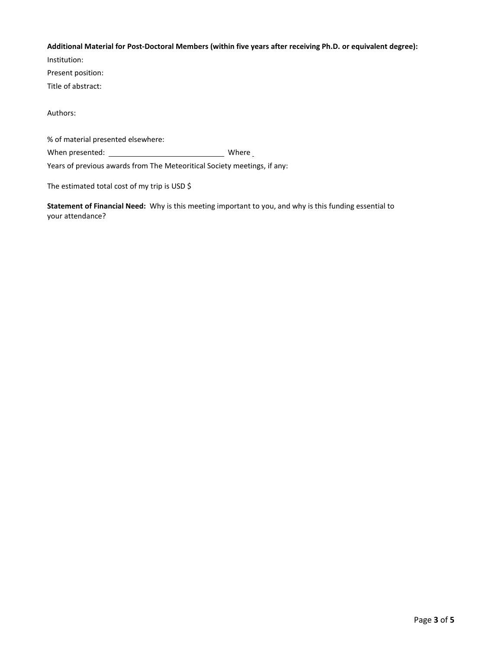## **Additional Material for Post-Doctoral Members (within five years after receiving Ph.D. or equivalent degree):**

Institution:

Present position:

Title of abstract:

Authors:

% of material presented elsewhere:

When presented: Where

Years of previous awards from The Meteoritical Society meetings, if any:

The estimated total cost of my trip is USD \$

**Statement of Financial Need:** Why is this meeting important to you, and why is this funding essential to your attendance?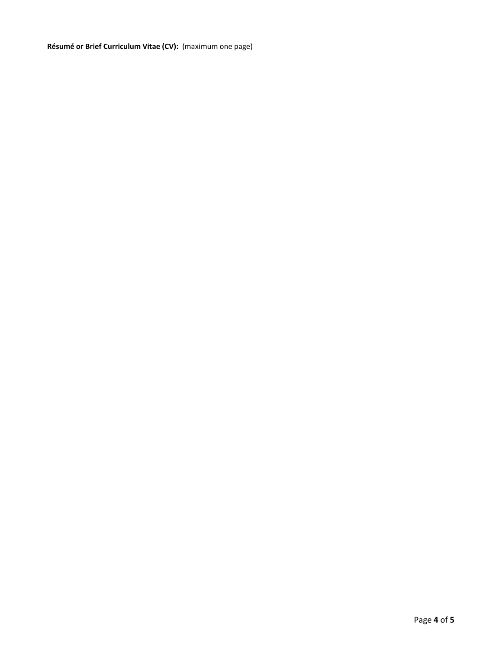**Résumé or Brief Curriculum Vitae (CV):** (maximum one page)